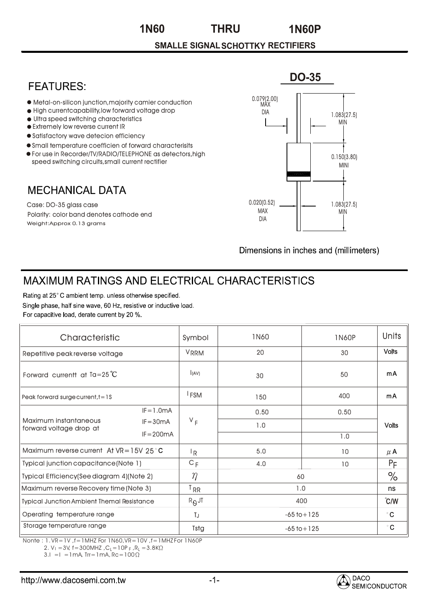**THRU 1N60 1N60P**

## **SMALLE SIGNALSCHOTTKY RECTIFIERS**

## **FFATURFS:**

- Metal-on-silicon junction,majority camier conduction
- $\bullet$  High currentcapability, low forward voltage drop
- Ultra speed switching characteristics
- Extremely low reverse current IR
- Satisfactory wave detecion efficiency
- Small temperature coefficien of forward characterisits
- For use in Recorder/TV/RADIO/TELEPHONE as detectors,high speed switching circuits,small current rectifier

## **MECHANICAL DATA**

Weight:Approx 0.13 grams Case: DO-35 glass case Polarity: color band denotes cathode end



Dimensions in inches and (millimeters)

## MAXIMUM RATINGS AND ELECTRICAL CHARACTERISTICS

Rating at 25°C ambient temp. unless otherwise specified. Single phase, half sine wave, 60 Hz, resistive or inductive load. For capacitive load, derate current by 20 %.

| Characteristic                                    |              | Symbol           | <b>1N60</b>     | 1N60P           | Units         |
|---------------------------------------------------|--------------|------------------|-----------------|-----------------|---------------|
| Repetitive peak reverse voltage                   |              | <b>VRRM</b>      | 20              | 30              | <b>Volts</b>  |
| Forward current at $Ta = 25^{\circ}C$             |              | l(AV)            | 30              | 50              | mA            |
| Peak forward surge current, $t = 1S$              |              | <sup>1</sup> FSM | 150             | 400             | mA            |
| Maximum instantaneous<br>forward voltage drop at  | $IF = 1.0mA$ | $V_F$            | 0.50            | 0.50            | <b>Volts</b>  |
|                                                   | $IF = 30mA$  |                  | 1.0             |                 |               |
|                                                   | $IF = 200mA$ |                  |                 | 1.0             |               |
| Maximum reverse current At $VR = 15V 25°C$        |              | ١R               | 5.0             | 10 <sup>°</sup> | $\mu$ A       |
| Typical junction capacitance (Note 1)             |              | $C_F$            | 4.0             | 10              | $P_F$         |
| Typical Efficiency(See diagram 4)(Note 2)         |              | $\eta$           | 60              |                 | $\%$          |
| Maximum reverse Recovery time (Note 3)            |              | <sup>T</sup> RR  | 1.0             |                 | ns            |
| <b>Typical Junction Ambient Themal Resistance</b> |              | $R_{\theta}$ JT  | 400             |                 | $\degree$ C/W |
| Operating temperature range                       |              | TJ               | $-65$ to $+125$ |                 | $^{\circ}$ C  |
| Storage temperature range                         |              | <b>Tstg</b>      | $-65$ to $+125$ |                 | $^{\circ}$ C  |

Nonte : 1. VR=1V ,f=1MHZ For 1N60,VR=10V ,f=1MHZ For 1N60P

2. V<sub>I</sub> = 3V, f = 300MHZ ,C<sub>L</sub> = 10P <sub>F</sub> ,R<sub>L</sub> = 3.8K

 $3.1 = I = 1 \text{mA}$ ,  $\text{Tr} = 1 \text{mA}$ ,  $\text{Rc} = 100 \Omega$ 

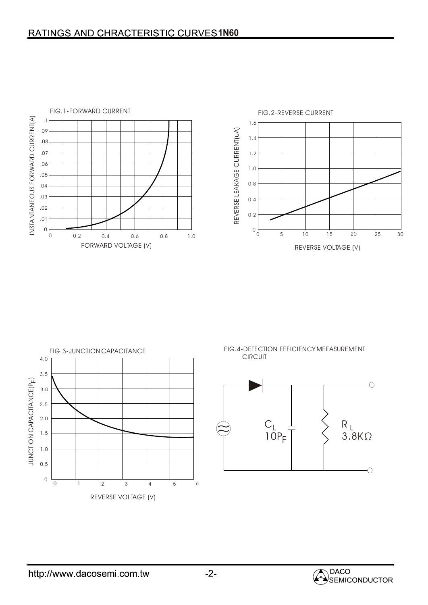





FIG.4-DETECTION EFFICIENCY MEEASUREMENT CIRCUIT